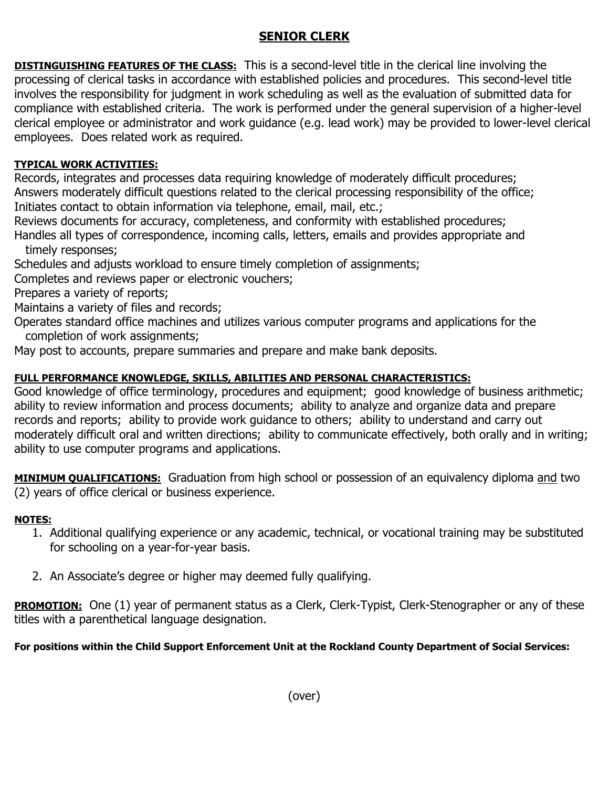## **SENIOR CLERK**

**DISTINGUISHING FEATURES OF THE CLASS:** This is a second-level title in the clerical line involving the processing of clerical tasks in accordance with established policies and procedures. This second-level title involves the responsibility for judgment in work scheduling as well as the evaluation of submitted data for compliance with established criteria. The work is performed under the general supervision of a higher-level clerical employee or administrator and work guidance (e.g. lead work) may be provided to lower-level clerical employees. Does related work as required.

## **TYPICAL WORK ACTIVITIES:**

Records, integrates and processes data requiring knowledge of moderately difficult procedures; Answers moderately difficult questions related to the clerical processing responsibility of the office; Initiates contact to obtain information via telephone, email, mail, etc.;

Reviews documents for accuracy, completeness, and conformity with established procedures;

Handles all types of correspondence, incoming calls, letters, emails and provides appropriate and timely responses;

Schedules and adjusts workload to ensure timely completion of assignments;

Completes and reviews paper or electronic vouchers;

Prepares a variety of reports;

Maintains a variety of files and records;

Operates standard office machines and utilizes various computer programs and applications for the completion of work assignments;

May post to accounts, prepare summaries and prepare and make bank deposits.

## **FULL PERFORMANCE KNOWLEDGE, SKILLS, ABILITIES AND PERSONAL CHARACTERISTICS:**

Good knowledge of office terminology, procedures and equipment; good knowledge of business arithmetic; ability to review information and process documents; ability to analyze and organize data and prepare records and reports; ability to provide work guidance to others; ability to understand and carry out moderately difficult oral and written directions; ability to communicate effectively, both orally and in writing; ability to use computer programs and applications.

**MINIMUM QUALIFICATIONS:** Graduation from high school or possession of an equivalency diploma and two (2) years of office clerical or business experience.

## **NOTES:**

- 1. Additional qualifying experience or any academic, technical, or vocational training may be substituted for schooling on a year-for-year basis.
- 2. An Associate's degree or higher may deemed fully qualifying.

**PROMOTION:** One (1) year of permanent status as a Clerk, Clerk-Typist, Clerk-Stenographer or any of these titles with a parenthetical language designation.

**For positions within the Child Support Enforcement Unit at the Rockland County Department of Social Services:**